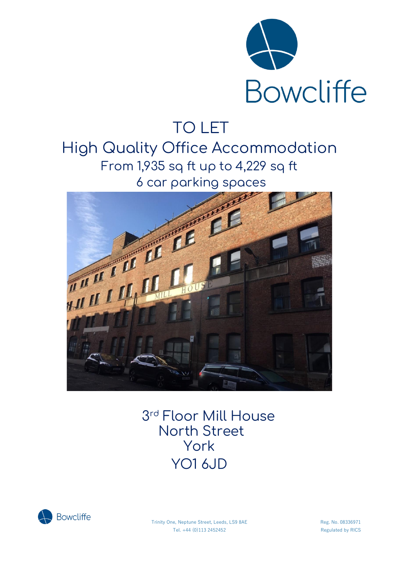

# TO LET

High Quality Office Accommodation From 1,935 sq ft up to 4,229 sq ft 6 car parking spaces



 3 rd Floor Mill House North Street York YO1 6JD



Trinity One, Neptune Street, Leeds, LS9 8AE Reg. No. 08336971 Tel. +44 (0)113 2452452 Regulated by RICS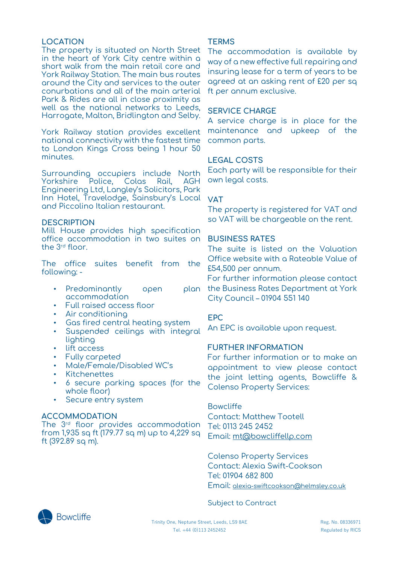### **LOCATION**

The property is situated on North Street in the heart of York City centre within a short walk from the main retail core and York Railway Station. The main bus routes around the City and services to the outer conurbations and all of the main arterial Park & Rides are all in close proximity as well as the national networks to Leeds, Harrogate, Malton, Bridlington and Selby.

York Railway station provides excellent national connectivity with the fastest time to London Kings Cross being 1 hour 50 minutes.

Surrounding occupiers include North<br>Yorkshire Police, Colas Rail, AGH Yorkshire Police, Colas Rail, AGH Engineering Ltd, Langley's Solicitors, Park Inn Hotel, Travelodge, Sainsbury's Local **VAT** and Piccolino Italian restaurant.

### **DESCRIPTION**

Mill House provides high specification office accommodation in two suites on the 3 rd floor.

The office suites benefit from the following: -

- Predominantly open accommodation
- Full raised access floor
- Air conditioning
- Gas fired central heating system
- Suspended ceilings with integral lighting
- lift access
- Fully carpeted
- Male/Female/Disabled WC's
- **Kitchenettes**
- 6 secure parking spaces (for the whole floor)
- Secure entry system

### **ACCOMMODATION**

The  $3^{\rm rd}$  floor provides accommodation from 1,935 sq ft (179.77 sq m) up to 4,229 sq ft (392.89 sq m).

### **TERMS**

The accommodation is available by way of a new effective full repairing and insuring lease for a term of years to be agreed at an asking rent of £20 per sq ft per annum exclusive.

### **SERVICE CHARGE**

A service charge is in place for the maintenance and upkeep of the common parts.

## **LEGAL COSTS**

Each party will be responsible for their own legal costs.

The property is registered for VAT and so VAT will be chargeable on the rent.

### **BUSINESS RATES**

The suite is listed on the Valuation Office website with a Rateable Value of £54,500 per annum.

For further information please contact plan the Business Rates Department at York City Council – 01904 551 140

### **EPC**

An EPC is available upon request.

### **FURTHER INFORMATION**

For further information or to make an appointment to view please contact the joint letting agents, Bowcliffe & Colenso Property Services:

### Bowcliffe

Contact: Matthew Tootell Tel: 0113 245 2452 Email: [mt@bowcliffellp.com](mailto:mt@bowcliffellp.com)

Colenso Property Services Contact: Alexia Swift-Cookson Tel: 01904 682 800 Email: [alexia-swiftcookson@helmsley.co.uk](mailto:alexia-swiftcookson@helmsley.co.uk)

### Subject to Contract